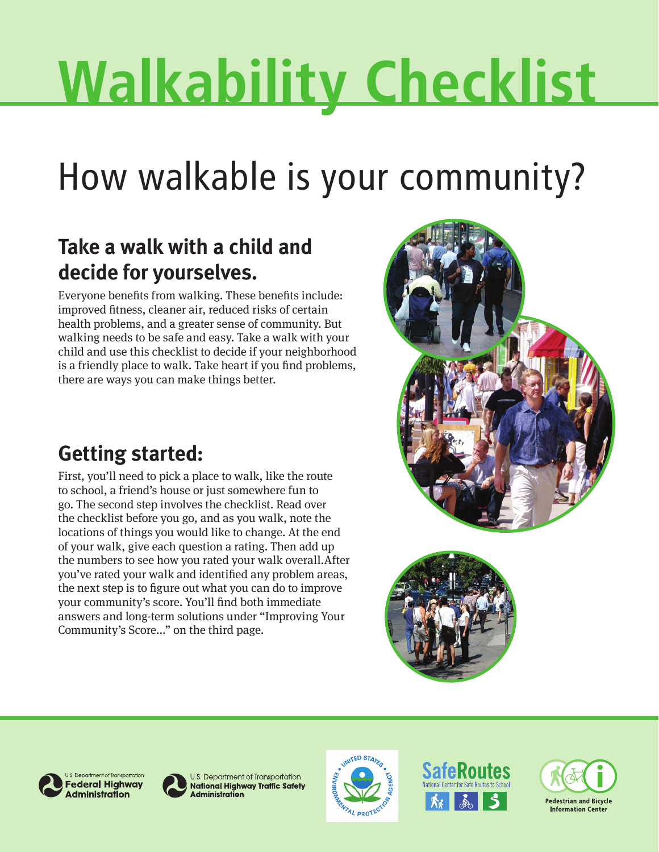# **Walkability Checklist**

## How walkable is your community?

## **Take a walk with a child and decide for yourselves.**

Everyone benefits from walking. These benefits include: improved fitness, cleaner air, reduced risks of certain health problems, and a greater sense of community. But walking needs to be safe and easy. Take a walk with your child and use this checklist to decide if your neighborhood is a friendly place to walk. Take heart if you find problems, there are ways you can make things better.

## **Getting started:**

First, you'll need to pick a place to walk, like the route to school, a friend's house or just somewhere fun to go. The second step involves the checklist. Read over the checklist before you go, and as you walk, note the locations of things you would like to change. At the end of your walk, give each question a rating. Then add up the numbers to see how you rated your walk overall.After you've rated your walk and identified any problem areas, the next step is to figure out what you can do to improve your community's score. You'll find both immediate answers and long-term solutions under "Improving Your Community's Score..." on the third page.









U.S. Department of Transportation **National Highway Traffic Safety Administration** 





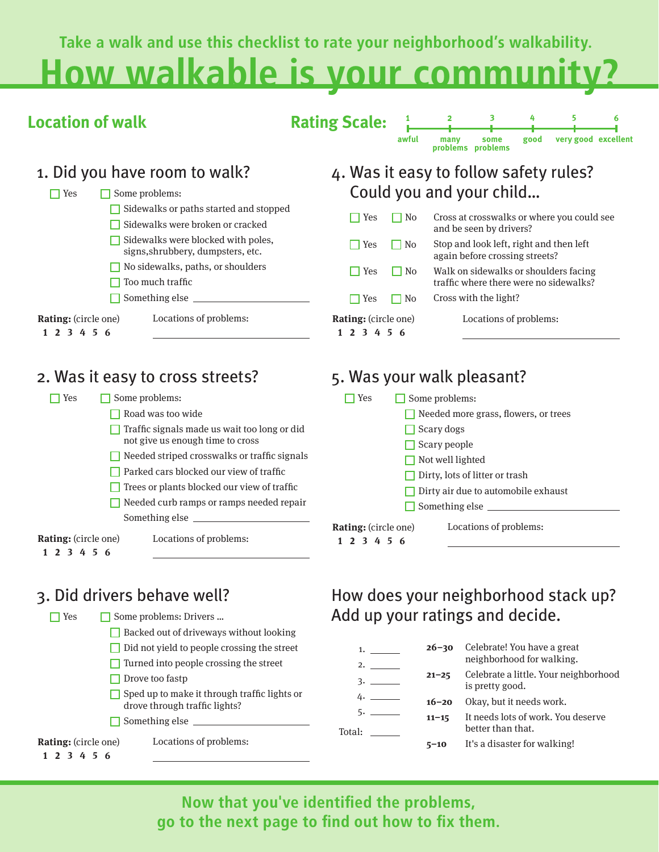**Take a walk and use this checklist to rate your neighborhood's walkability.**

## **How walkable is your community?**

| <b>Location of walk</b>                                                                                      | 3<br>6<br><b>Rating Scale:</b><br>very good excellent<br>awful<br>good<br>many<br>some<br>problems problems                  |
|--------------------------------------------------------------------------------------------------------------|------------------------------------------------------------------------------------------------------------------------------|
| 1. Did you have room to walk?                                                                                | 4. Was it easy to follow safety rules?                                                                                       |
| $\sqcap$ Yes<br>Some problems:<br>Sidewalks or paths started and stopped<br>Sidewalks were broken or cracked | Could you and your child<br>Cross at crosswalks or where you could see<br>$\Box$ No<br>$\Box$ Yes<br>and be seen by drivers? |
| Sidewalks were blocked with poles,<br>signs, shrubbery, dumpsters, etc.                                      | Stop and look left, right and then left<br>$\sqcap$ Yes<br>$\Box$ No<br>again before crossing streets?                       |
| No sidewalks, paths, or shoulders<br>Too much traffic                                                        | <b>Yes</b><br>$\Box$ No<br>Walk on sidewalks or shoulders facing<br>traffic where there were no sidewalks?                   |
| Something else                                                                                               | Cross with the light?<br>Yes<br>$\Box$ No                                                                                    |
| Locations of problems:<br><b>Rating:</b> (circle one)<br>1 2 3 4 5 6                                         | <b>Rating:</b> (circle one)<br>Locations of problems:<br>1 2 3 4 5 6                                                         |
| 2. Was it easy to cross streets?                                                                             | 5. Was your walk pleasant?                                                                                                   |
| <b>T</b> Yes<br>Some problems:                                                                               | Some problems:<br>$\Box$ Yes                                                                                                 |
| Road was too wide                                                                                            | Needed more grass, flowers, or trees                                                                                         |
| Traffic signals made us wait too long or did                                                                 | Scary dogs                                                                                                                   |
| not give us enough time to cross                                                                             | Scary people                                                                                                                 |
| Needed striped crosswalks or traffic signals                                                                 | Not well lighted                                                                                                             |

**Parked cars blocked our view of traffic** 

 $\Box$  Trees or plants blocked our view of traffic

Needed curb ramps or ramps needed repair Something else

**Rating:** (circle one) **1 2 3 4 5 6**

Locations of problems:

## 3. Did drivers behave well?

Locations of problems: □ Yes Some problems: Drivers ... Backed out of driveways without looking  $\Box$  Did not yield to people crossing the street  $\Box$  Turned into people crossing the street  $\Box$  Drove too fastp  $\Box$  Sped up to make it through traffic lights or drove through traffic lights?  $\Box$  Something else  $\Box$ **Rating:** (circle one) **1 2 3 4 5 6**

| Yes                                 | Some problems:                       |
|-------------------------------------|--------------------------------------|
|                                     | Needed more grass, flowers, or trees |
|                                     | $\Box$ Scary dogs                    |
|                                     | $\Box$ Scary people                  |
|                                     | $\Box$ Not well lighted              |
|                                     | Dirty, lots of litter or trash       |
| Dirty air due to automobile exhaust |                                      |
|                                     | $\Box$ Something else $\Box$         |
| <b>Rating:</b> (circle one)         | Locations of problems:               |
| 1 2 3 4 5 6                         |                                      |

## How does your neighborhood stack up? Add up your ratings and decide.

| 1.<br>2.     | $26 - 30$ | Celebrate! You have a great<br>neighborhood for walking. |
|--------------|-----------|----------------------------------------------------------|
| 3.           | $21 - 25$ | Celebrate a little. Your neighborhood<br>is pretty good. |
| 4.           | $16 - 20$ | Okay, but it needs work.                                 |
| 5.<br>Total: | $11 - 15$ | It needs lots of work. You deserve<br>better than that.  |
|              | $5 - 10$  | It's a disaster for walking!                             |
|              |           |                                                          |

**Now that you've identified the problems, go to the next page to find out how to fix them.**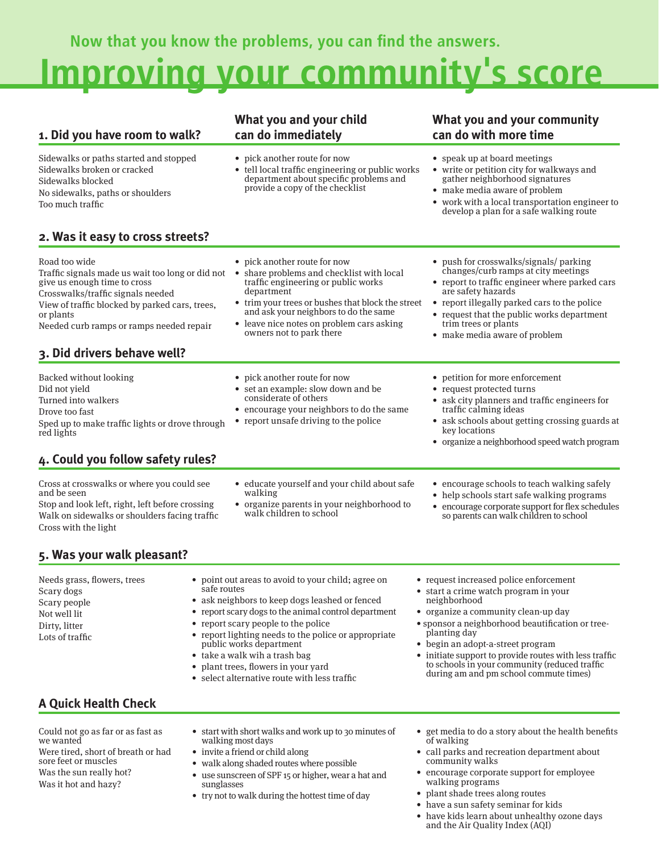**Now that you know the problems, you can find the answers.**

## **Improving your community's score**

### **1. Did you have room to walk?**

Sidewalks or paths started and stopped Sidewalks broken or cracked Sidewalks blocked No sidewalks, paths or shoulders Too much traffic

### **2. Was it easy to cross streets?**

Road too wide

Traffic signals made us wait too long or did no t give us enough time to cross Crosswalks/traffic signals needed View of traffic blocked by parked cars, trees, or plants

Needed curb ramps or ramps needed repair

## **3. Did drivers behave well?**

Backed without looking

- Did not yield
- Turned into walkers
- Drove too fast

Sped up to make traffic lights or drove through red lights

## **4. Could you follow safety rules?**

Cross at crosswalks or where you could see and be seen

Stop and look left, right, left before crossing Walk on sidewalks or shoulders facing traffic Cross with the light

**5. Was your walk pleasant?** 

- educate yourself and your child about safe walking
- organize parents in your neighborhood to walk children to school
- 
- Needs grass, flowers, trees Scary dogs Scary people Not well lit Dirty, litter Lots of traffic • point out areas to avoid to your child; agree on safe routes • ask neighbors to keep dogs leashed or fenced • report scary dogs to the animal control department • report scary people to the police • report lighting needs to the police or appropriate public works department • take a walk wih a trash bag • start a crime watch program in your neighborhood planting day • begin an adopt-a-street program
	- plant trees, flowers in your yard
	- select alternative route with less traffic
- request increased police enforcement
- 
- organize a community clean-up day
- sponsor a neighborhood beautification or tree-
- initiate support to provide routes with less traffic to schools in your community (reduced traffic during am and pm school commute times)

## **A Quick Health Check**

Could not go as far or as fast as we wanted Were tired, short of breath or had sore feet or muscles Was the sun really hot? Was it hot and hazy?

- start with short walks and work up to 30 minutes of walking most days
- invite a friend or child along
- walk along shaded routes where possible
- use sunscreen of SPF 15 or higher, wear a hat and sunglasses
- try not to walk during the hottest time of day
- get media to do a story about the health benefits of walking
- call parks and recreation department about community walks
- encourage corporate support for employee walking programs
- plant shade trees along routes
- have a sun safety seminar for kids
- have kids learn about unhealthy ozone days and the Air Quality Index (AQI)

### **What you and your child can do immediately**

- pick another route for now
- tell local traffic engineering or public works department about specific problems and provide a copy of the checklist

## **What you and your community**

| • speak up at board meetings |  |
|------------------------------|--|
|------------------------------|--|

• write or petition city for walkways and gather neighborhood signatures

• push for crosswalks/signals/ parking changes/curb ramps at city meetings • report to traffic engineer where parked cars

• report illegally parked cars to the police • request that the public works department

- make media aware of problem
- work with a local transportation engineer to develop a plan for a safe walking route
- pick another route for now

#### • share problems and checklist with local traffic engineering or public works department

- trim your trees or bushes that block the street and ask your neighbors to do the same
- leave nice notes on problem cars asking owners not to park there
- 

are safety hazards

trim trees or plants • make media aware of problem

- petition for more enforcement
- request protected turns
- ask city planners and traffic engineers for traffic calming ideas
- ask schools about getting crossing guards at key locations
- organize a neighborhood speed watch program
- encourage schools to teach walking safely
- help schools start safe walking programs • encourage corporate support for flex schedules so parents can walk children to school

- 
- 



• pick another route for now

considerate of others

set an example: slow down and be

**can do with more time**